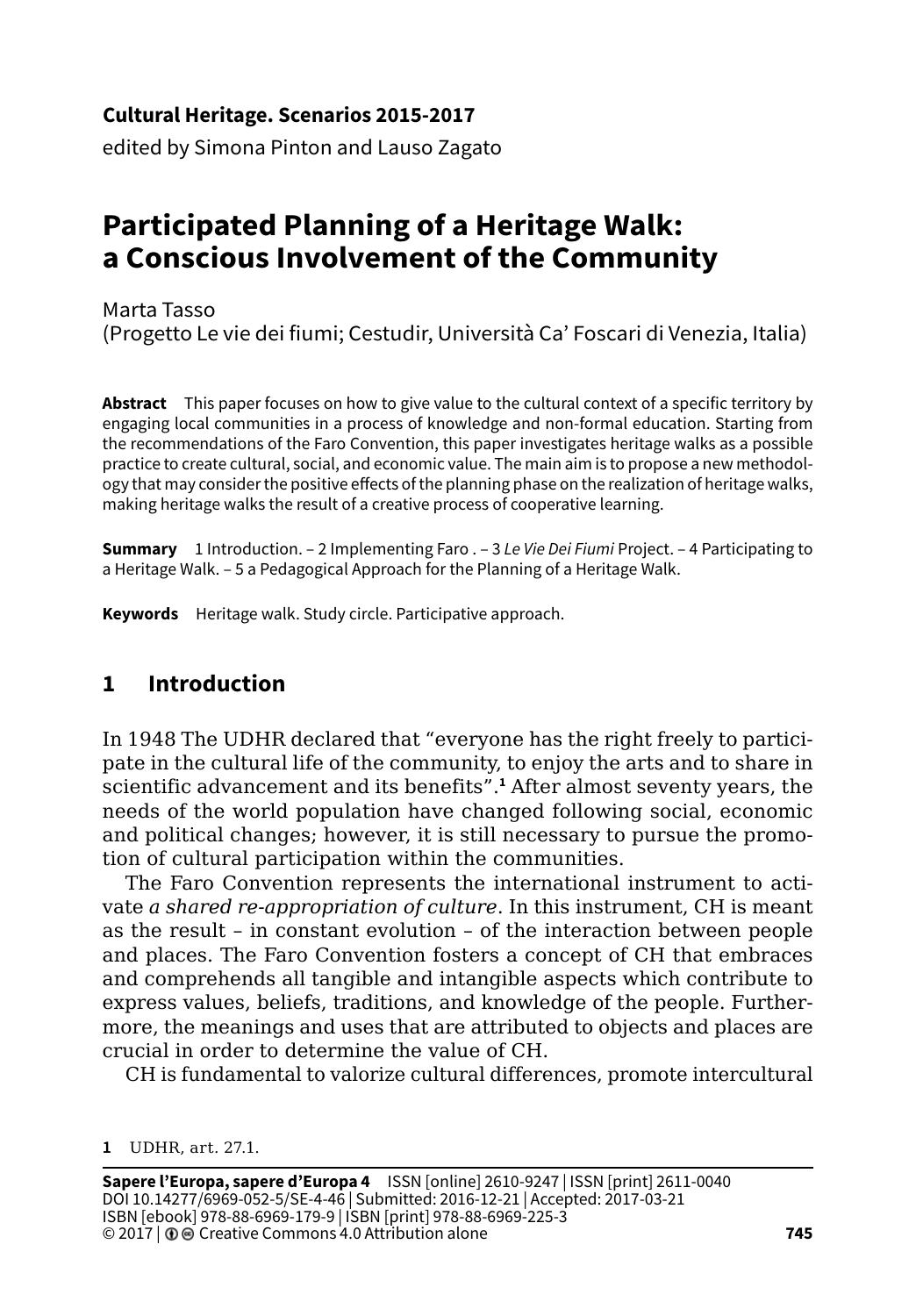#### **Cultural Heritage. Scenarios 2015-2017**

edited by Simona Pinton and Lauso Zagato

# **Participated Planning of a Heritage Walk: a Conscious Involvement of the Community**

Marta Tasso (Progetto Le vie dei fiumi; Cestudir, Università Ca' Foscari di Venezia, Italia)

**Abstract** This paper focuses on how to give value to the cultural context of a specific territory by engaging local communities in a process of knowledge and non-formal education. Starting from the recommendations of the Faro Convention, this paper investigates heritage walks as a possible practice to create cultural, social, and economic value. The main aim is to propose a new methodology that may consider the positive effects of the planning phase on the realization of heritage walks, making heritage walks the result of a creative process of cooperative learning.

**Summary** 1 Introduction. – 2 Implementing Faro . – 3 *Le Vie Dei Fiumi* Project. – 4 Participating to a Heritage Walk. – 5 a Pedagogical Approach for the Planning of a Heritage Walk.

**Keywords** Heritage walk. Study circle. Participative approach.

### **1 Introduction**

In 1948 The UDHR declared that "everyone has the right freely to participate in the cultural life of the community, to enjoy the arts and to share in scientific advancement and its benefits".**<sup>1</sup>** After almost seventy years, the needs of the world population have changed following social, economic and political changes; however, it is still necessary to pursue the promotion of cultural participation within the communities.

The Faro Convention represents the international instrument to activate *a shared re-appropriation of culture*. In this instrument, CH is meant as the result – in constant evolution – of the interaction between people and places. The Faro Convention fosters a concept of CH that embraces and comprehends all tangible and intangible aspects which contribute to express values, beliefs, traditions, and knowledge of the people. Furthermore, the meanings and uses that are attributed to objects and places are crucial in order to determine the value of CH.

CH is fundamental to valorize cultural differences, promote intercultural

**<sup>1</sup>** UDHR, art. 27.1.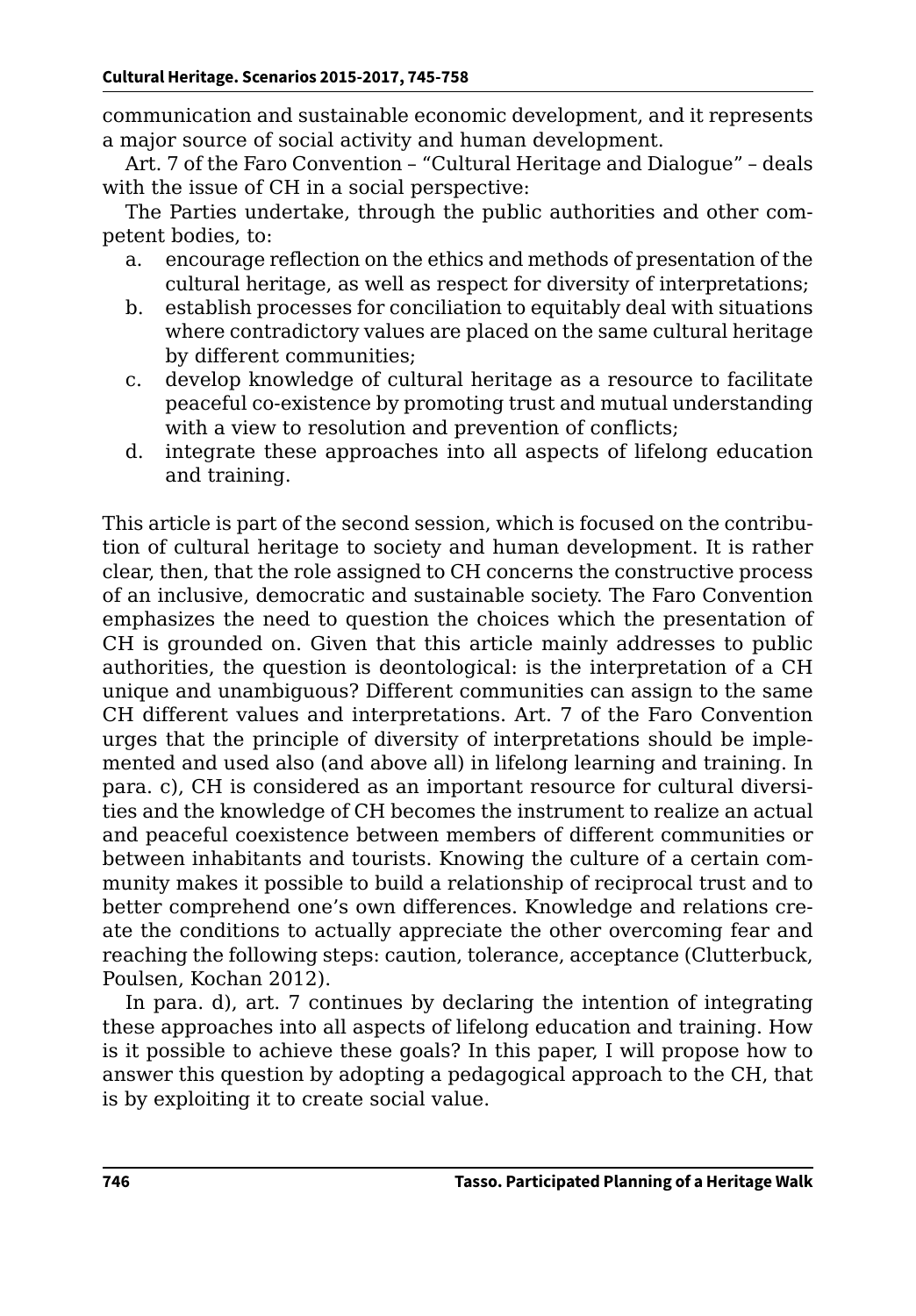communication and sustainable economic development, and it represents a major source of social activity and human development.

Art. 7 of the Faro Convention – "Cultural Heritage and Dialogue" – deals with the issue of CH in a social perspective:

The Parties undertake, through the public authorities and other competent bodies, to:

- a. encourage reflection on the ethics and methods of presentation of the cultural heritage, as well as respect for diversity of interpretations;
- b. establish processes for conciliation to equitably deal with situations where contradictory values are placed on the same cultural heritage by different communities;
- c. develop knowledge of cultural heritage as a resource to facilitate peaceful co-existence by promoting trust and mutual understanding with a view to resolution and prevention of conflicts;
- d. integrate these approaches into all aspects of lifelong education and training.

This article is part of the second session, which is focused on the contribution of cultural heritage to society and human development. It is rather clear, then, that the role assigned to CH concerns the constructive process of an inclusive, democratic and sustainable society. The Faro Convention emphasizes the need to question the choices which the presentation of CH is grounded on. Given that this article mainly addresses to public authorities, the question is deontological: is the interpretation of a CH unique and unambiguous? Different communities can assign to the same CH different values and interpretations. Art. 7 of the Faro Convention urges that the principle of diversity of interpretations should be implemented and used also (and above all) in lifelong learning and training. In para. c), CH is considered as an important resource for cultural diversities and the knowledge of CH becomes the instrument to realize an actual and peaceful coexistence between members of different communities or between inhabitants and tourists. Knowing the culture of a certain community makes it possible to build a relationship of reciprocal trust and to better comprehend one's own differences. Knowledge and relations create the conditions to actually appreciate the other overcoming fear and reaching the following steps: caution, tolerance, acceptance (Clutterbuck, Poulsen, Kochan 2012).

In para. d), art. 7 continues by declaring the intention of integrating these approaches into all aspects of lifelong education and training. How is it possible to achieve these goals? In this paper, I will propose how to answer this question by adopting a pedagogical approach to the CH, that is by exploiting it to create social value.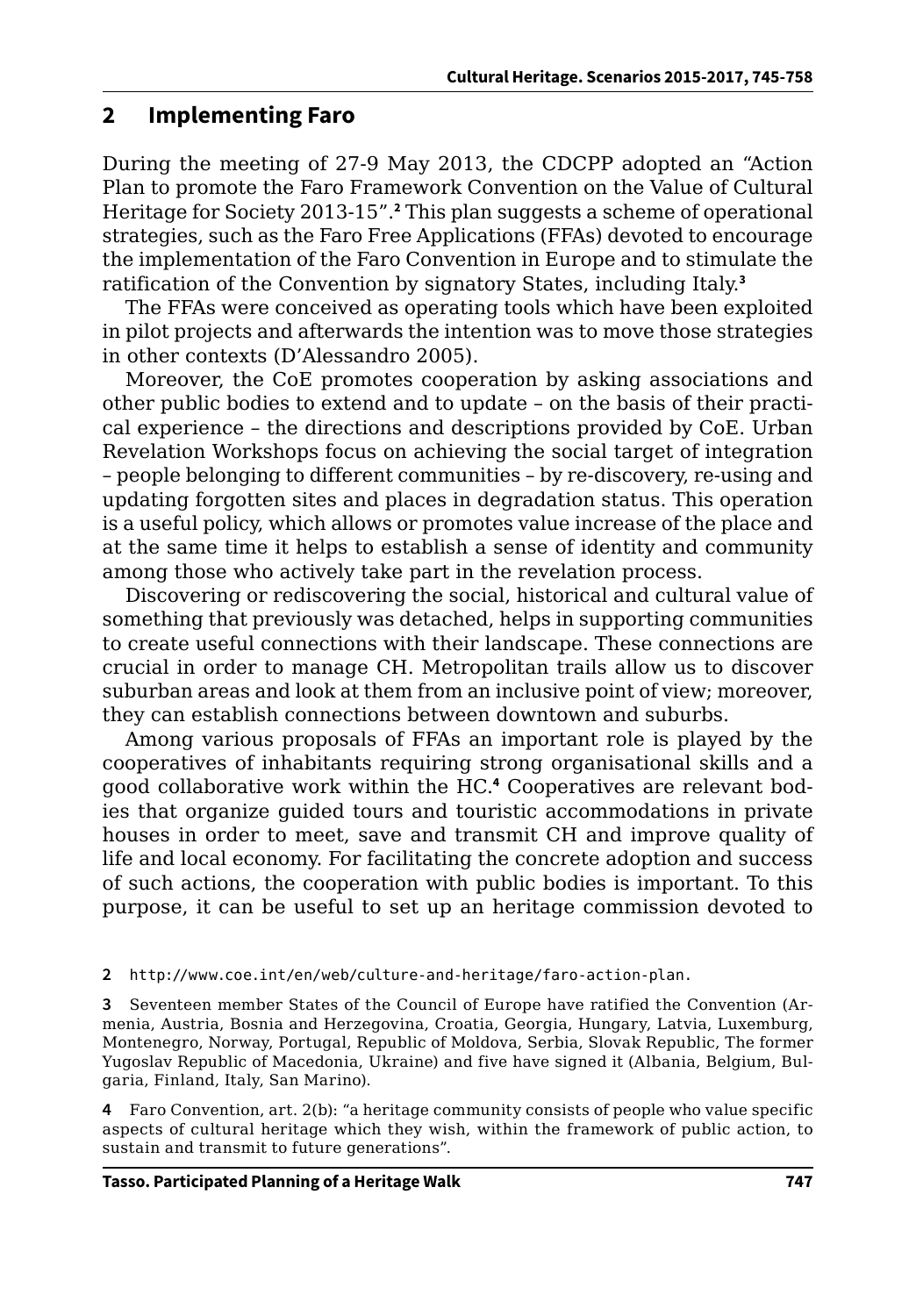#### **2 Implementing Faro**

During the meeting of 27-9 May 2013, the CDCPP adopted an "Action Plan to promote the Faro Framework Convention on the Value of Cultural Heritage for Society 2013-15".**<sup>2</sup>** This plan suggests a scheme of operational strategies, such as the Faro Free Applications (FFAs) devoted to encourage the implementation of the Faro Convention in Europe and to stimulate the ratification of the Convention by signatory States, including Italy.**<sup>3</sup>**

The FFAs were conceived as operating tools which have been exploited in pilot projects and afterwards the intention was to move those strategies in other contexts (D'Alessandro 2005).

Moreover, the CoE promotes cooperation by asking associations and other public bodies to extend and to update – on the basis of their practical experience – the directions and descriptions provided by CoE. Urban Revelation Workshops focus on achieving the social target of integration – people belonging to different communities – by re-discovery, re-using and updating forgotten sites and places in degradation status. This operation is a useful policy, which allows or promotes value increase of the place and at the same time it helps to establish a sense of identity and community among those who actively take part in the revelation process.

Discovering or rediscovering the social, historical and cultural value of something that previously was detached, helps in supporting communities to create useful connections with their landscape. These connections are crucial in order to manage CH. Metropolitan trails allow us to discover suburban areas and look at them from an inclusive point of view; moreover, they can establish connections between downtown and suburbs.

Among various proposals of FFAs an important role is played by the cooperatives of inhabitants requiring strong organisational skills and a good collaborative work within the HC.**<sup>4</sup>** Cooperatives are relevant bodies that organize guided tours and touristic accommodations in private houses in order to meet, save and transmit CH and improve quality of life and local economy. For facilitating the concrete adoption and success of such actions, the cooperation with public bodies is important. To this purpose, it can be useful to set up an heritage commission devoted to

**2** [http://www.coe.int/en/web/culture-and-heritage/faro-action-plan.](http://www.coe.int/en/web/culture-and-heritage/faro-action-plan)

**3** Seventeen member States of the Council of Europe have ratified the Convention (Armenia, Austria, Bosnia and Herzegovina, Croatia, Georgia, Hungary, Latvia, Luxemburg, Montenegro, Norway, Portugal, Republic of Moldova, Serbia, Slovak Republic, The former Yugoslav Republic of Macedonia, Ukraine) and five have signed it (Albania, Belgium, Bulgaria, Finland, Italy, San Marino).

**4** Faro Convention, art. 2(b): "a heritage community consists of people who value specific aspects of cultural heritage which they wish, within the framework of public action, to sustain and transmit to future generations".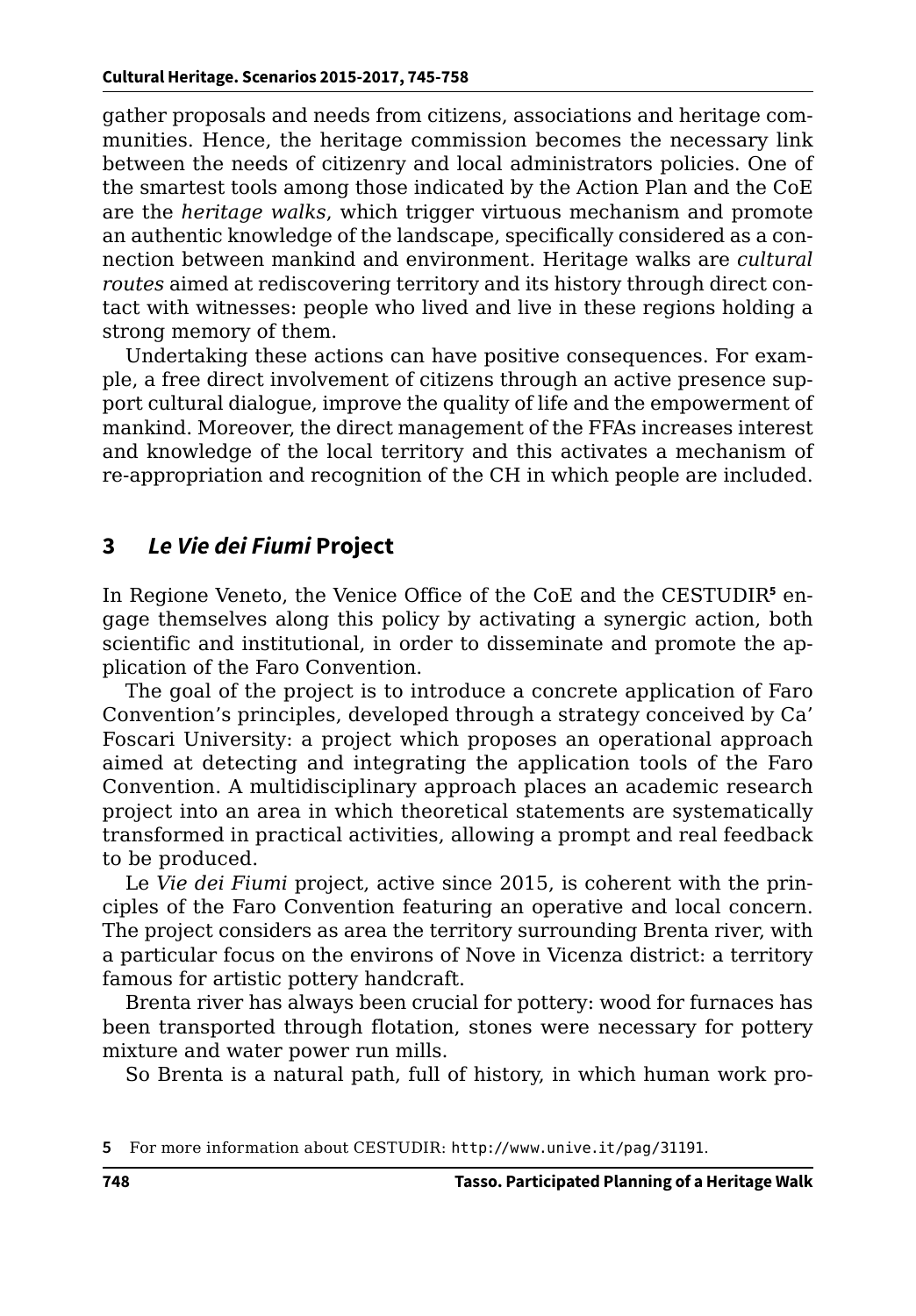gather proposals and needs from citizens, associations and heritage communities. Hence, the heritage commission becomes the necessary link between the needs of citizenry and local administrators policies. One of the smartest tools among those indicated by the Action Plan and the CoE are the *heritage walks*, which trigger virtuous mechanism and promote an authentic knowledge of the landscape, specifically considered as a connection between mankind and environment. Heritage walks are *cultural routes* aimed at rediscovering territory and its history through direct contact with witnesses: people who lived and live in these regions holding a strong memory of them.

Undertaking these actions can have positive consequences. For example, a free direct involvement of citizens through an active presence support cultural dialogue, improve the quality of life and the empowerment of mankind. Moreover, the direct management of the FFAs increases interest and knowledge of the local territory and this activates a mechanism of re-appropriation and recognition of the CH in which people are included.

#### **3** *Le Vie dei Fiumi* **Project**

In Regione Veneto, the Venice Office of the CoE and the CESTUDIR<sup>5</sup> engage themselves along this policy by activating a synergic action, both scientific and institutional, in order to disseminate and promote the application of the Faro Convention.

The goal of the project is to introduce a concrete application of Faro Convention's principles, developed through a strategy conceived by Ca' Foscari University: a project which proposes an operational approach aimed at detecting and integrating the application tools of the Faro Convention. A multidisciplinary approach places an academic research project into an area in which theoretical statements are systematically transformed in practical activities, allowing a prompt and real feedback to be produced.

Le *Vie dei Fiumi* project, active since 2015, is coherent with the principles of the Faro Convention featuring an operative and local concern. The project considers as area the territory surrounding Brenta river, with a particular focus on the environs of Nove in Vicenza district: a territory famous for artistic pottery handcraft.

Brenta river has always been crucial for pottery: wood for furnaces has been transported through flotation, stones were necessary for pottery mixture and water power run mills.

So Brenta is a natural path, full of history, in which human work pro-

**<sup>5</sup>** For more information about CESTUDIR: <http://www.unive.it/pag/31191>.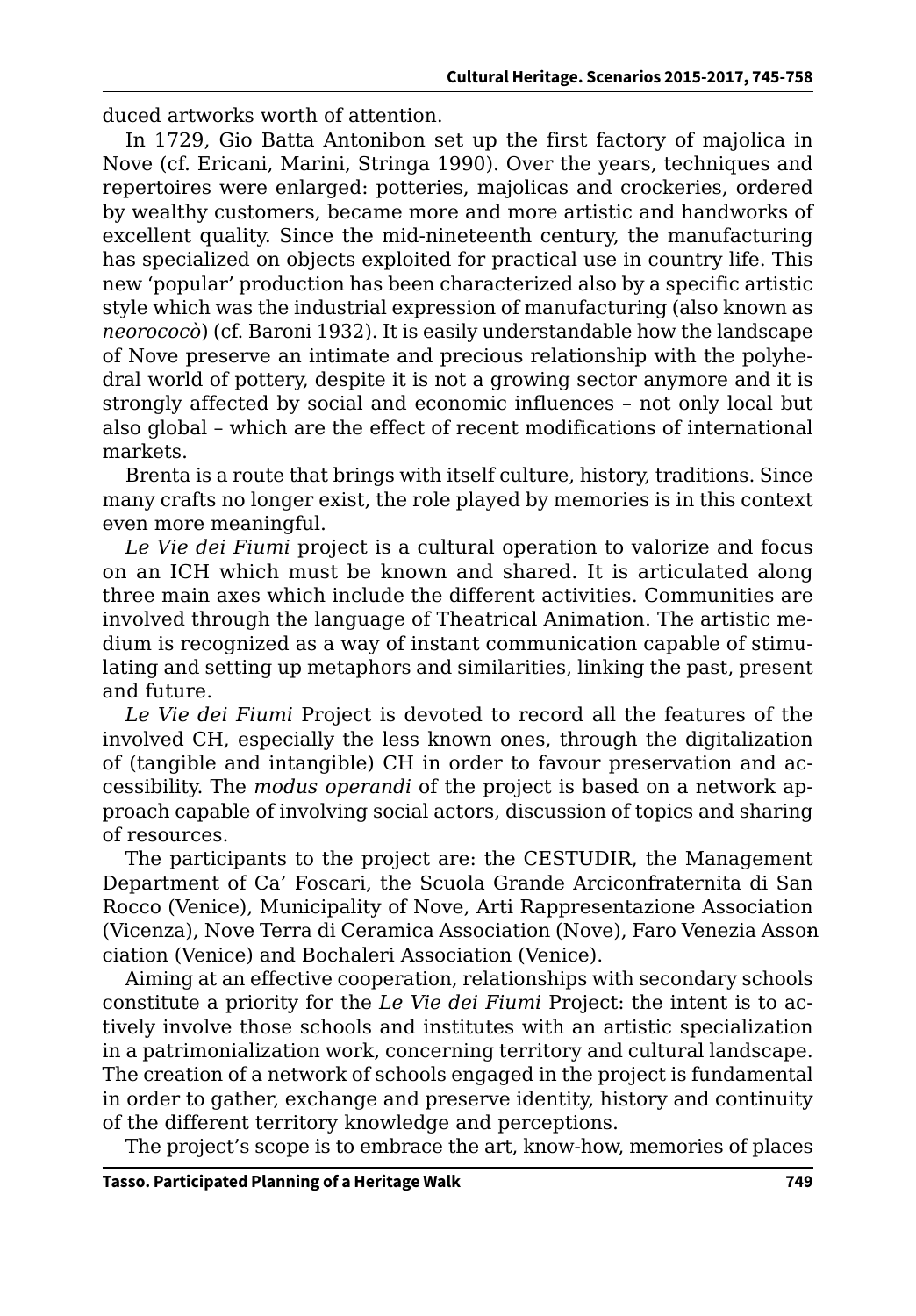duced artworks worth of attention.

In 1729, Gio Batta Antonibon set up the first factory of majolica in Nove (cf. Ericani, Marini, Stringa 1990). Over the years, techniques and repertoires were enlarged: potteries, majolicas and crockeries, ordered by wealthy customers, became more and more artistic and handworks of excellent quality. Since the mid-nineteenth century, the manufacturing has specialized on objects exploited for practical use in country life. This new 'popular' production has been characterized also by a specific artistic style which was the industrial expression of manufacturing (also known as *neorococò*) (cf. Baroni 1932). It is easily understandable how the landscape of Nove preserve an intimate and precious relationship with the polyhedral world of pottery, despite it is not a growing sector anymore and it is strongly affected by social and economic influences – not only local but also global – which are the effect of recent modifications of international markets.

Brenta is a route that brings with itself culture, history, traditions. Since many crafts no longer exist, the role played by memories is in this context even more meaningful.

*Le Vie dei Fiumi* project is a cultural operation to valorize and focus on an ICH which must be known and shared. It is articulated along three main axes which include the different activities. Communities are involved through the language of Theatrical Animation. The artistic medium is recognized as a way of instant communication capable of stimulating and setting up metaphors and similarities, linking the past, present and future.

*Le Vie dei Fiumi* Project is devoted to record all the features of the involved CH, especially the less known ones, through the digitalization of (tangible and intangible) CH in order to favour preservation and accessibility. The *modus operandi* of the project is based on a network approach capable of involving social actors, discussion of topics and sharing of resources.

The participants to the project are: the CESTUDIR, the Management Department of Ca' Foscari, the Scuola Grande Arciconfraternita di San Rocco (Venice), Municipality of Nove, Arti Rappresentazione Association (Vicenza), Nove Terra di Ceramica Association (Nove), Faro Venezia Assonciation (Venice) and Bochaleri Association (Venice).

Aiming at an effective cooperation, relationships with secondary schools constitute a priority for the *Le Vie dei Fiumi* Project: the intent is to actively involve those schools and institutes with an artistic specialization in a patrimonialization work, concerning territory and cultural landscape. The creation of a network of schools engaged in the project is fundamental in order to gather, exchange and preserve identity, history and continuity of the different territory knowledge and perceptions.

The project's scope is to embrace the art, know-how, memories of places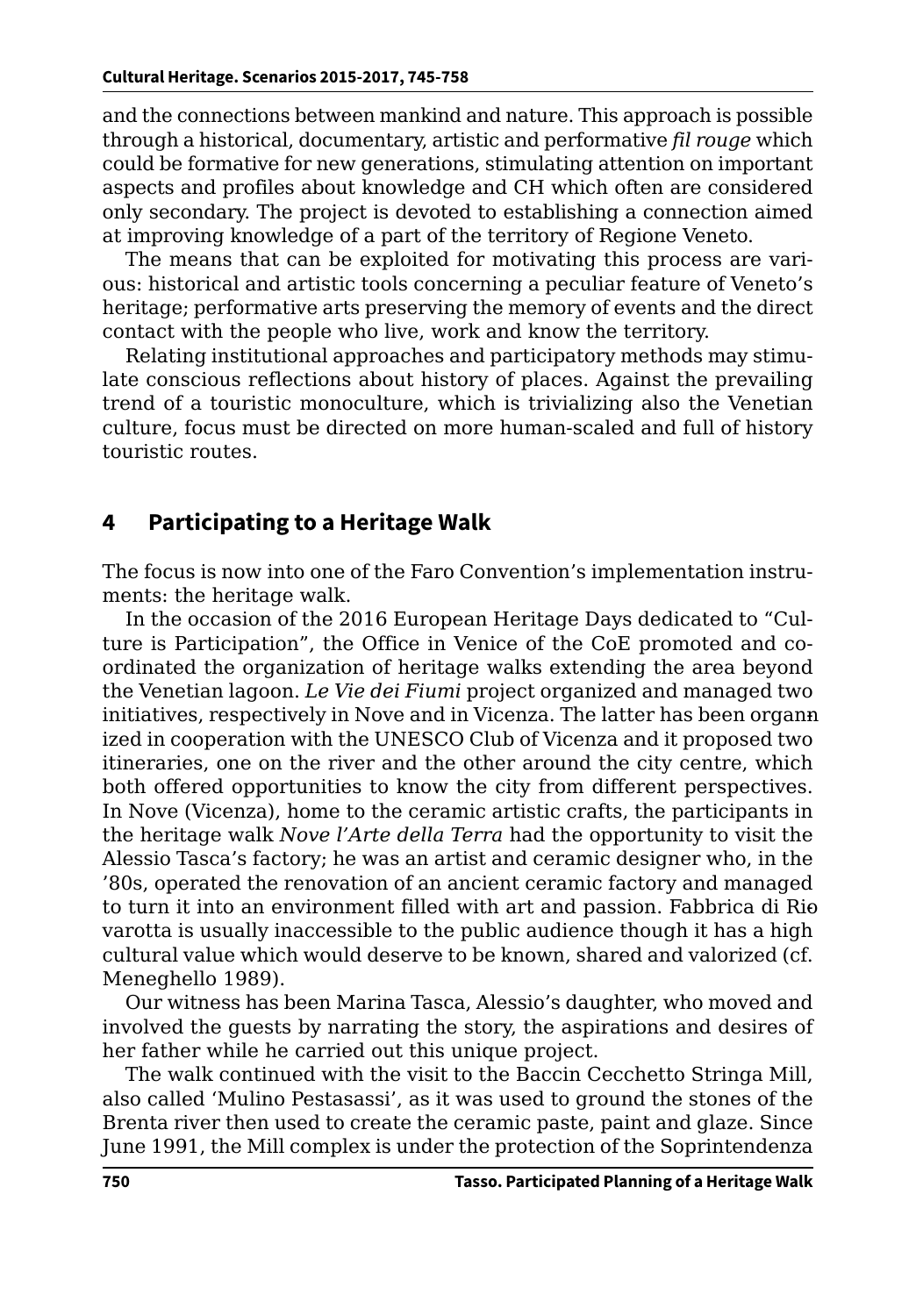and the connections between mankind and nature. This approach is possible through a historical, documentary, artistic and performative *fil rouge* which could be formative for new generations, stimulating attention on important aspects and profiles about knowledge and CH which often are considered only secondary. The project is devoted to establishing a connection aimed at improving knowledge of a part of the territory of Regione Veneto.

The means that can be exploited for motivating this process are various: historical and artistic tools concerning a peculiar feature of Veneto's heritage; performative arts preserving the memory of events and the direct contact with the people who live, work and know the territory.

Relating institutional approaches and participatory methods may stimulate conscious reflections about history of places. Against the prevailing trend of a touristic monoculture, which is trivializing also the Venetian culture, focus must be directed on more human-scaled and full of history touristic routes.

#### **4 Participating to a Heritage Walk**

The focus is now into one of the Faro Convention's implementation instruments: the heritage walk.

In the occasion of the 2016 European Heritage Days dedicated to "Culture is Participation", the Office in Venice of the CoE promoted and coordinated the organization of heritage walks extending the area beyond the Venetian lagoon. *Le Vie dei Fiumi* project organized and managed two initiatives, respectively in Nove and in Vicenza. The latter has been organnized in cooperation with the UNESCO Club of Vicenza and it proposed two itineraries, one on the river and the other around the city centre, which both offered opportunities to know the city from different perspectives. In Nove (Vicenza), home to the ceramic artistic crafts, the participants in the heritage walk *Nove l'Arte della Terra* had the opportunity to visit the Alessio Tasca's factory; he was an artist and ceramic designer who, in the '80s, operated the renovation of an ancient ceramic factory and managed to turn it into an environment filled with art and passion. Fabbrica di Rio varotta is usually inaccessible to the public audience though it has a high cultural value which would deserve to be known, shared and valorized (cf. Meneghello 1989).

Our witness has been Marina Tasca, Alessio's daughter, who moved and involved the guests by narrating the story, the aspirations and desires of her father while he carried out this unique project.

The walk continued with the visit to the Baccin Cecchetto Stringa Mill, also called 'Mulino Pestasassi', as it was used to ground the stones of the Brenta river then used to create the ceramic paste, paint and glaze. Since June 1991, the Mill complex is under the protection of the Soprintendenza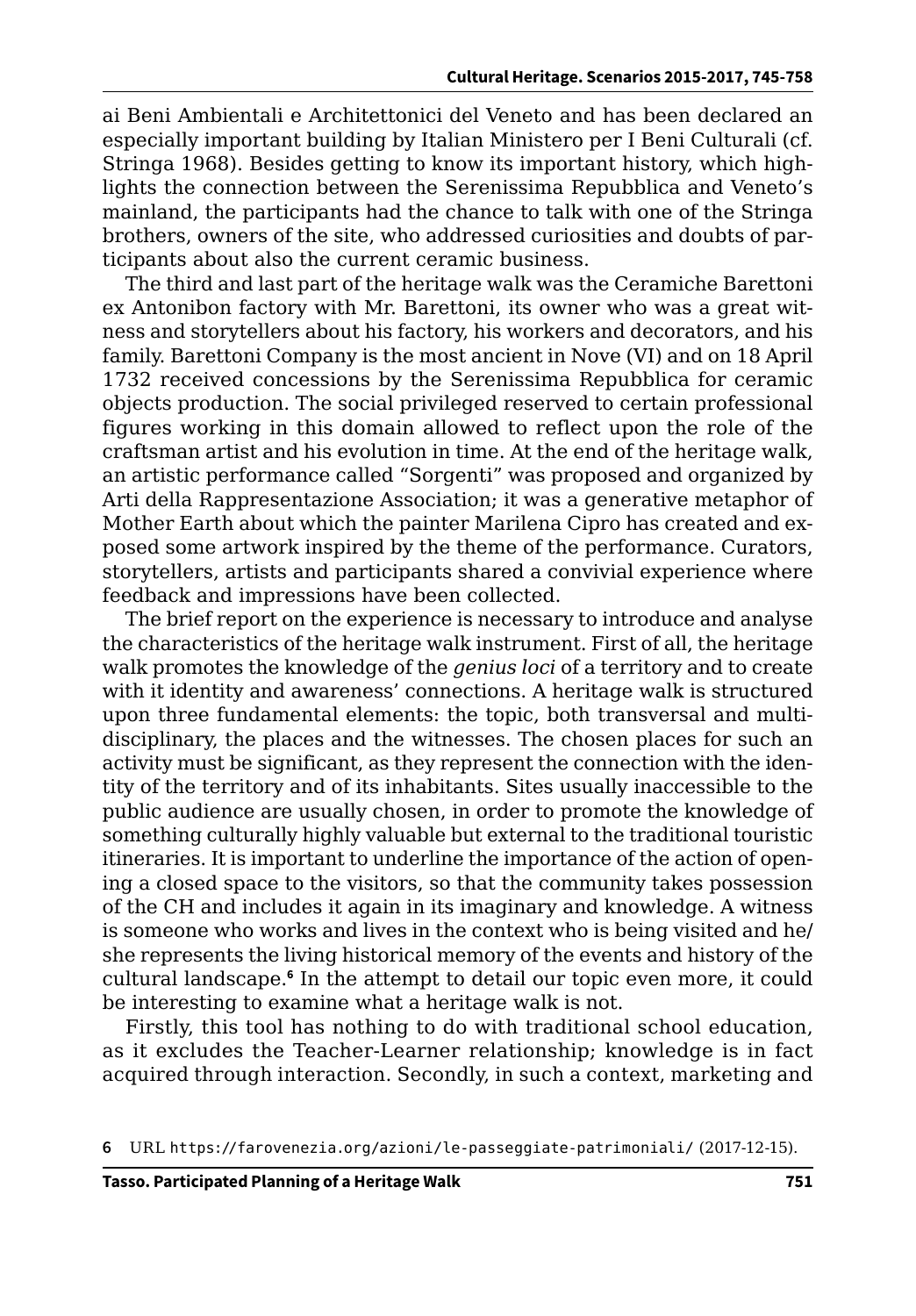ai Beni Ambientali e Architettonici del Veneto and has been declared an especially important building by Italian Ministero per I Beni Culturali (cf. Stringa 1968). Besides getting to know its important history, which highlights the connection between the Serenissima Repubblica and Veneto's mainland, the participants had the chance to talk with one of the Stringa brothers, owners of the site, who addressed curiosities and doubts of participants about also the current ceramic business.

The third and last part of the heritage walk was the Ceramiche Barettoni ex Antonibon factory with Mr. Barettoni, its owner who was a great witness and storytellers about his factory, his workers and decorators, and his family. Barettoni Company is the most ancient in Nove (VI) and on 18 April 1732 received concessions by the Serenissima Repubblica for ceramic objects production. The social privileged reserved to certain professional figures working in this domain allowed to reflect upon the role of the craftsman artist and his evolution in time. At the end of the heritage walk, an artistic performance called "Sorgenti" was proposed and organized by Arti della Rappresentazione Association; it was a generative metaphor of Mother Earth about which the painter Marilena Cipro has created and exposed some artwork inspired by the theme of the performance. Curators, storytellers, artists and participants shared a convivial experience where feedback and impressions have been collected.

The brief report on the experience is necessary to introduce and analyse the characteristics of the heritage walk instrument. First of all, the heritage walk promotes the knowledge of the *genius loci* of a territory and to create with it identity and awareness' connections. A heritage walk is structured upon three fundamental elements: the topic, both transversal and multidisciplinary, the places and the witnesses. The chosen places for such an activity must be significant, as they represent the connection with the identity of the territory and of its inhabitants. Sites usually inaccessible to the public audience are usually chosen, in order to promote the knowledge of something culturally highly valuable but external to the traditional touristic itineraries. It is important to underline the importance of the action of opening a closed space to the visitors, so that the community takes possession of the CH and includes it again in its imaginary and knowledge. A witness is someone who works and lives in the context who is being visited and he/ she represents the living historical memory of the events and history of the cultural landscape.**<sup>6</sup>** In the attempt to detail our topic even more, it could be interesting to examine what a heritage walk is not.

Firstly, this tool has nothing to do with traditional school education, as it excludes the Teacher-Learner relationship; knowledge is in fact acquired through interaction. Secondly, in such a context, marketing and

**<sup>6</sup>** URL <https://farovenezia.org/azioni/le-passeggiate-patrimoniali/> (2017-12-15).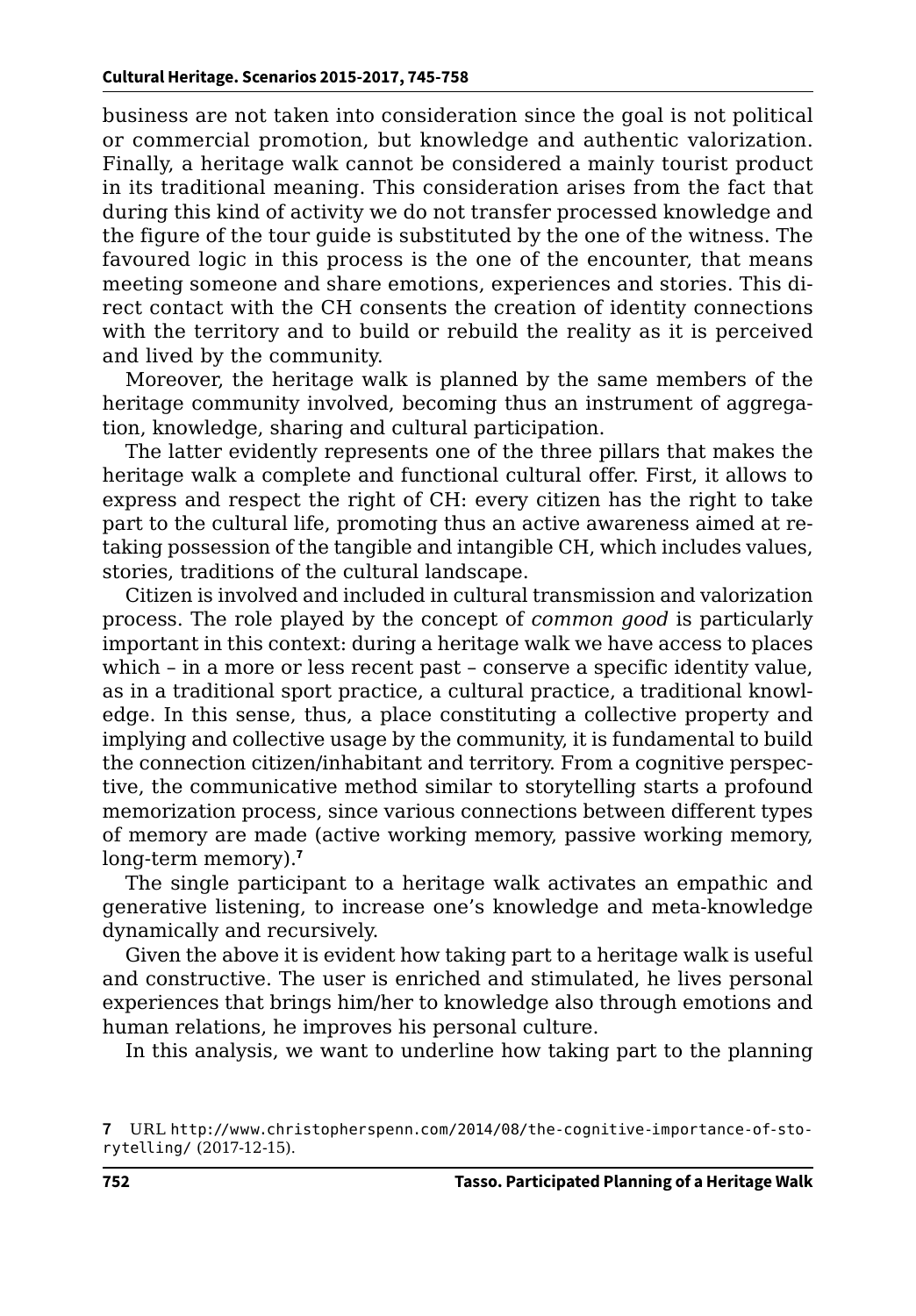business are not taken into consideration since the goal is not political or commercial promotion, but knowledge and authentic valorization. Finally, a heritage walk cannot be considered a mainly tourist product in its traditional meaning. This consideration arises from the fact that during this kind of activity we do not transfer processed knowledge and the figure of the tour guide is substituted by the one of the witness. The favoured logic in this process is the one of the encounter, that means meeting someone and share emotions, experiences and stories. This direct contact with the CH consents the creation of identity connections with the territory and to build or rebuild the reality as it is perceived and lived by the community.

Moreover, the heritage walk is planned by the same members of the heritage community involved, becoming thus an instrument of aggregation, knowledge, sharing and cultural participation.

The latter evidently represents one of the three pillars that makes the heritage walk a complete and functional cultural offer. First, it allows to express and respect the right of CH: every citizen has the right to take part to the cultural life, promoting thus an active awareness aimed at retaking possession of the tangible and intangible CH, which includes values, stories, traditions of the cultural landscape.

Citizen is involved and included in cultural transmission and valorization process. The role played by the concept of *common good* is particularly important in this context: during a heritage walk we have access to places which – in a more or less recent past – conserve a specific identity value, as in a traditional sport practice, a cultural practice, a traditional knowledge. In this sense, thus, a place constituting a collective property and implying and collective usage by the community, it is fundamental to build the connection citizen/inhabitant and territory. From a cognitive perspective, the communicative method similar to storytelling starts a profound memorization process, since various connections between different types of memory are made (active working memory, passive working memory, long-term memory).**<sup>7</sup>**

The single participant to a heritage walk activates an empathic and generative listening, to increase one's knowledge and meta-knowledge dynamically and recursively.

Given the above it is evident how taking part to a heritage walk is useful and constructive. The user is enriched and stimulated, he lives personal experiences that brings him/her to knowledge also through emotions and human relations, he improves his personal culture.

In this analysis, we want to underline how taking part to the planning

**<sup>7</sup>** URL [http://www.christopherspenn.com/2014/08/the-cognitive-importance-of-sto](http://www.christopherspenn.com/2014/08/the-cognitive-importance-of-storytelling/)[rytelling/](http://www.christopherspenn.com/2014/08/the-cognitive-importance-of-storytelling/) (2017-12-15).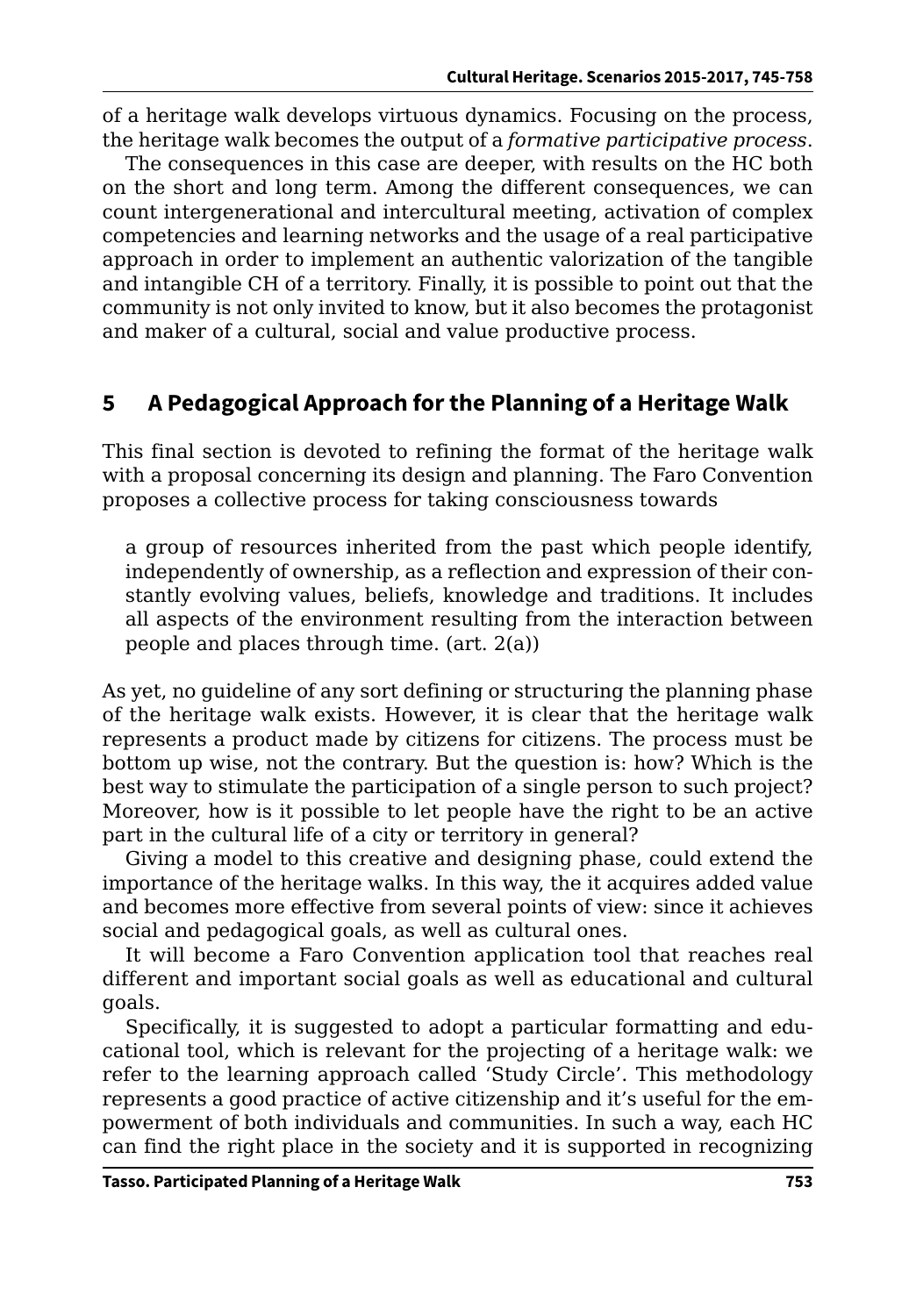of a heritage walk develops virtuous dynamics. Focusing on the process, the heritage walk becomes the output of a *formative participative process*.

The consequences in this case are deeper, with results on the HC both on the short and long term. Among the different consequences, we can count intergenerational and intercultural meeting, activation of complex competencies and learning networks and the usage of a real participative approach in order to implement an authentic valorization of the tangible and intangible CH of a territory. Finally, it is possible to point out that the community is not only invited to know, but it also becomes the protagonist and maker of a cultural, social and value productive process.

## **5 A Pedagogical Approach for the Planning of a Heritage Walk**

This final section is devoted to refining the format of the heritage walk with a proposal concerning its design and planning. The Faro Convention proposes a collective process for taking consciousness towards

a group of resources inherited from the past which people identify, independently of ownership, as a reflection and expression of their constantly evolving values, beliefs, knowledge and traditions. It includes all aspects of the environment resulting from the interaction between people and places through time. (art. 2(a))

As yet, no guideline of any sort defining or structuring the planning phase of the heritage walk exists. However, it is clear that the heritage walk represents a product made by citizens for citizens. The process must be bottom up wise, not the contrary. But the question is: how? Which is the best way to stimulate the participation of a single person to such project? Moreover, how is it possible to let people have the right to be an active part in the cultural life of a city or territory in general?

Giving a model to this creative and designing phase, could extend the importance of the heritage walks. In this way, the it acquires added value and becomes more effective from several points of view: since it achieves social and pedagogical goals, as well as cultural ones.

It will become a Faro Convention application tool that reaches real different and important social goals as well as educational and cultural goals.

Specifically, it is suggested to adopt a particular formatting and educational tool, which is relevant for the projecting of a heritage walk: we refer to the learning approach called 'Study Circle'. This methodology represents a good practice of active citizenship and it's useful for the empowerment of both individuals and communities. In such a way, each HC can find the right place in the society and it is supported in recognizing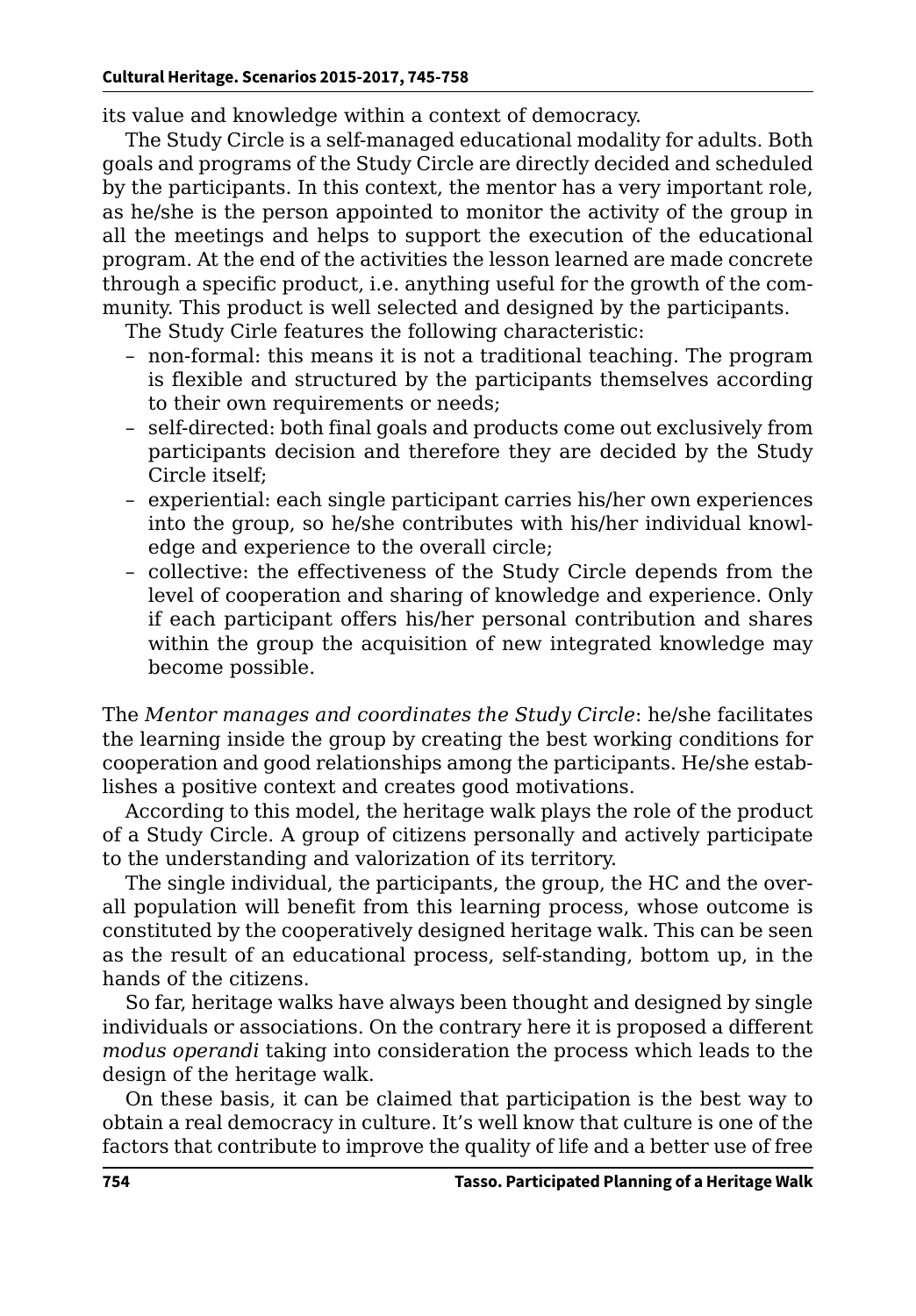its value and knowledge within a context of democracy.

The Study Circle is a self-managed educational modality for adults. Both goals and programs of the Study Circle are directly decided and scheduled by the participants. In this context, the mentor has a very important role, as he/she is the person appointed to monitor the activity of the group in all the meetings and helps to support the execution of the educational program. At the end of the activities the lesson learned are made concrete through a specific product, i.e. anything useful for the growth of the community. This product is well selected and designed by the participants.

The Study Cirle features the following characteristic:

- non-formal: this means it is not a traditional teaching. The program is flexible and structured by the participants themselves according to their own requirements or needs;
- self-directed: both final goals and products come out exclusively from participants decision and therefore they are decided by the Study Circle itself;
- experiential: each single participant carries his/her own experiences into the group, so he/she contributes with his/her individual knowledge and experience to the overall circle;
- collective: the effectiveness of the Study Circle depends from the level of cooperation and sharing of knowledge and experience. Only if each participant offers his/her personal contribution and shares within the group the acquisition of new integrated knowledge may become possible.

The *Mentor manages and coordinates the Study Circle*: he/she facilitates the learning inside the group by creating the best working conditions for cooperation and good relationships among the participants. He/she establishes a positive context and creates good motivations.

According to this model, the heritage walk plays the role of the product of a Study Circle. A group of citizens personally and actively participate to the understanding and valorization of its territory.

The single individual, the participants, the group, the HC and the overall population will benefit from this learning process, whose outcome is constituted by the cooperatively designed heritage walk. This can be seen as the result of an educational process, self-standing, bottom up, in the hands of the citizens.

So far, heritage walks have always been thought and designed by single individuals or associations. On the contrary here it is proposed a different *modus operandi* taking into consideration the process which leads to the design of the heritage walk.

On these basis, it can be claimed that participation is the best way to obtain a real democracy in culture. It's well know that culture is one of the factors that contribute to improve the quality of life and a better use of free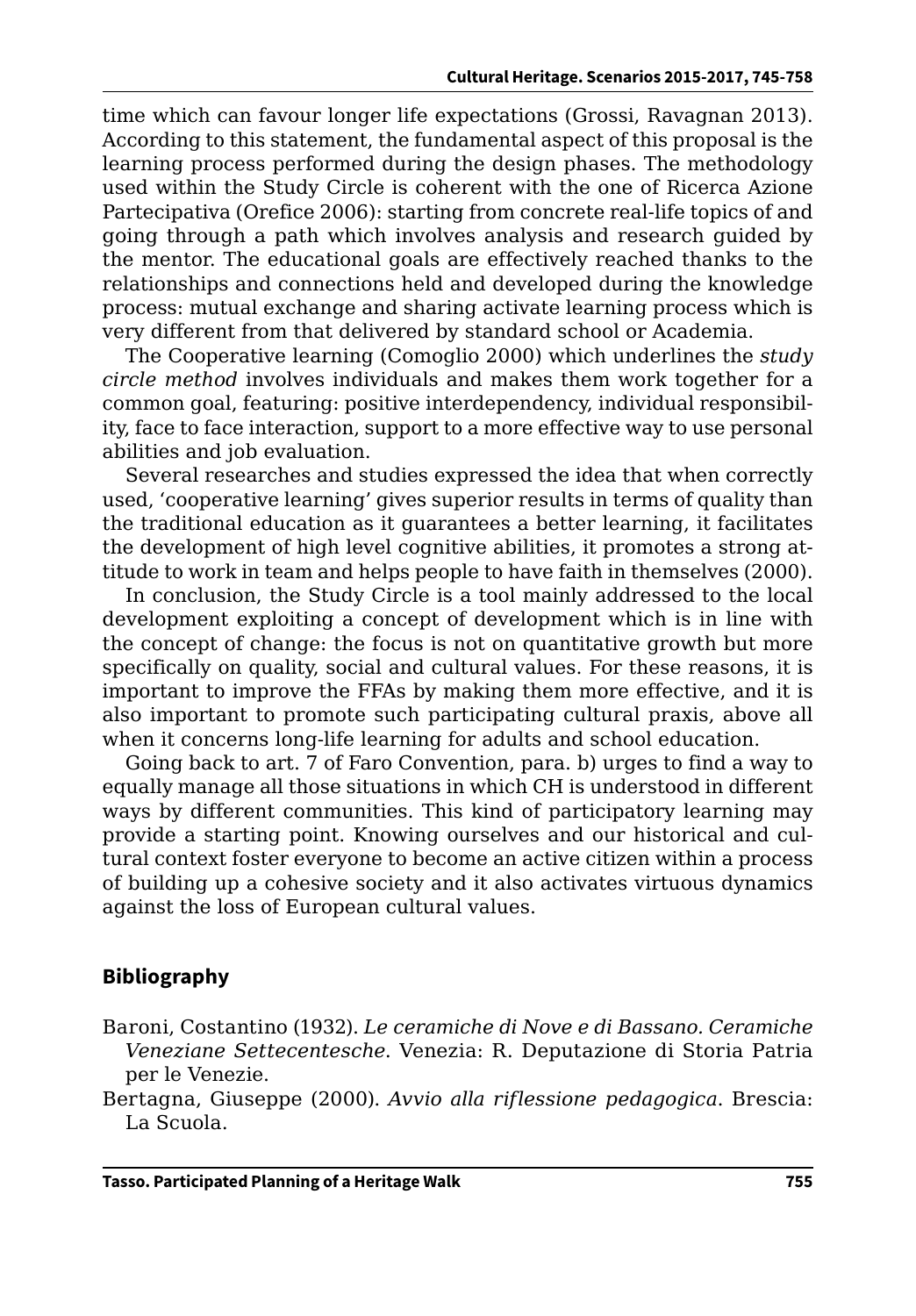time which can favour longer life expectations (Grossi, Ravagnan 2013). According to this statement, the fundamental aspect of this proposal is the learning process performed during the design phases. The methodology used within the Study Circle is coherent with the one of Ricerca Azione Partecipativa (Orefice 2006): starting from concrete real-life topics of and going through a path which involves analysis and research guided by the mentor. The educational goals are effectively reached thanks to the relationships and connections held and developed during the knowledge process: mutual exchange and sharing activate learning process which is very different from that delivered by standard school or Academia.

The Cooperative learning (Comoglio 2000) which underlines the *study circle method* involves individuals and makes them work together for a common goal, featuring: positive interdependency, individual responsibility, face to face interaction, support to a more effective way to use personal abilities and job evaluation.

Several researches and studies expressed the idea that when correctly used, 'cooperative learning' gives superior results in terms of quality than the traditional education as it guarantees a better learning, it facilitates the development of high level cognitive abilities, it promotes a strong attitude to work in team and helps people to have faith in themselves (2000).

In conclusion, the Study Circle is a tool mainly addressed to the local development exploiting a concept of development which is in line with the concept of change: the focus is not on quantitative growth but more specifically on quality, social and cultural values. For these reasons, it is important to improve the FFAs by making them more effective, and it is also important to promote such participating cultural praxis, above all when it concerns long-life learning for adults and school education.

Going back to art. 7 of Faro Convention, para. b) urges to find a way to equally manage all those situations in which CH is understood in different ways by different communities. This kind of participatory learning may provide a starting point. Knowing ourselves and our historical and cultural context foster everyone to become an active citizen within a process of building up a cohesive society and it also activates virtuous dynamics against the loss of European cultural values.

#### **Bibliography**

- Baroni, Costantino (1932). *Le ceramiche di Nove e di Bassano. Ceramiche Veneziane Settecentesche*. Venezia: R. Deputazione di Storia Patria per le Venezie.
- Bertagna, Giuseppe (2000). *Avvio alla riflessione pedagogica*. Brescia: La Scuola.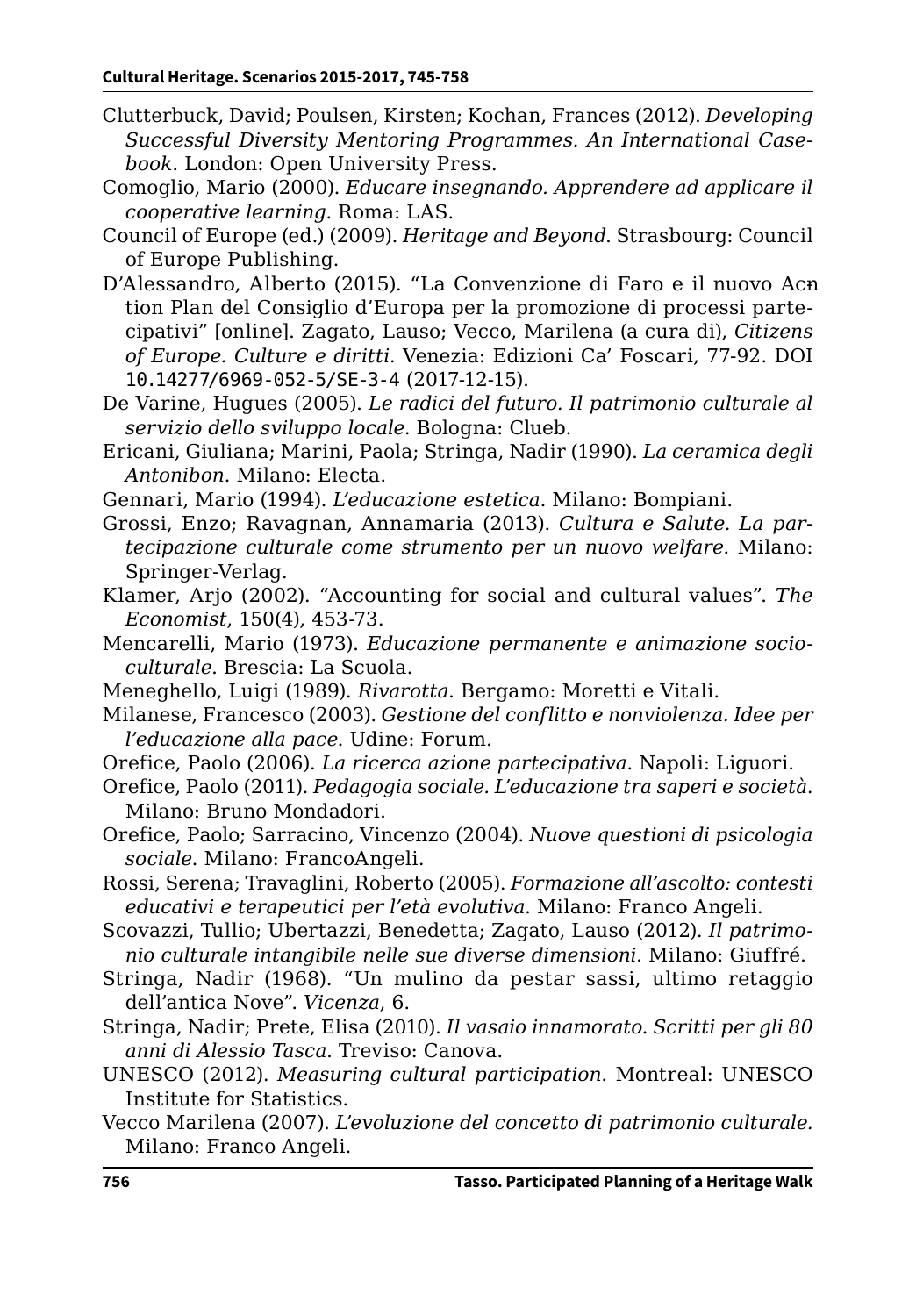- Clutterbuck, David; Poulsen, Kirsten; Kochan, Frances (2012). *Developing Successful Diversity Mentoring Programmes. An International Casebook*. London: Open University Press.
- Comoglio, Mario (2000). *Educare insegnando. Apprendere ad applicare il cooperative learning*. Roma: LAS.
- Council of Europe (ed.) (2009). *Heritage and Beyond*. Strasbourg: Council of Europe Publishing.
- D'Alessandro, Alberto (2015). "La Convenzione di Faro e il nuovo Acntion Plan del Consiglio d'Europa per la promozione di processi partecipativi" [online]. Zagato, Lauso; Vecco, Marilena (a cura di), *Citizens of Europe. Culture e diritti*. Venezia: Edizioni Ca' Foscari, 77-92. DOI [10.14277/6969-052-5/SE-3-4](http://doi.org/10.14277/6969-052-5/SE-3-4) (2017-12-15).
- De Varine, Hugues (2005). *Le radici del futuro. Il patrimonio culturale al servizio dello sviluppo locale*. Bologna: Clueb.
- Ericani, Giuliana; Marini, Paola; Stringa, Nadir (1990). *La ceramica degli Antonibon*. Milano: Electa.
- Gennari, Mario (1994). *L'educazione estetica*. Milano: Bompiani.
- Grossi, Enzo; Ravagnan, Annamaria (2013). *Cultura e Salute. La partecipazione culturale come strumento per un nuovo welfare*. Milano: Springer-Verlag.
- Klamer, Arjo (2002). "Accounting for social and cultural values". *The Economist*, 150(4), 453-73.
- Mencarelli, Mario (1973). *Educazione permanente e animazione socioculturale*. Brescia: La Scuola.
- Meneghello, Luigi (1989). *Rivarotta*. Bergamo: Moretti e Vitali.
- Milanese, Francesco (2003). *Gestione del conflitto e nonviolenza. Idee per l'educazione alla pace*. Udine: Forum.
- Orefice, Paolo (2006). *La ricerca azione partecipativa*. Napoli: Liguori.
- Orefice, Paolo (2011). *Pedagogia sociale. L'educazione tra saperi e società*. Milano: Bruno Mondadori.
- Orefice, Paolo; Sarracino, Vincenzo (2004). *Nuove questioni di psicologia sociale*. Milano: FrancoAngeli.
- Rossi, Serena; Travaglini, Roberto (2005). *Formazione all'ascolto: contesti educativi e terapeutici per l'età evolutiva*. Milano: Franco Angeli.
- Scovazzi, Tullio; Ubertazzi, Benedetta; Zagato, Lauso (2012). *Il patrimonio culturale intangibile nelle sue diverse dimensioni*. Milano: Giuffré.
- Stringa, Nadir (1968). "Un mulino da pestar sassi, ultimo retaggio dell'antica Nove". *Vicenza*, 6.
- Stringa, Nadir; Prete, Elisa (2010). *Il vasaio innamorato. Scritti per gli 80 anni di Alessio Tasca*. Treviso: Canova.
- UNESCO (2012). *Measuring cultural participation*. Montreal: UNESCO Institute for Statistics.
- Vecco Marilena (2007). *L'evoluzione del concetto di patrimonio culturale.* Milano: Franco Angeli.